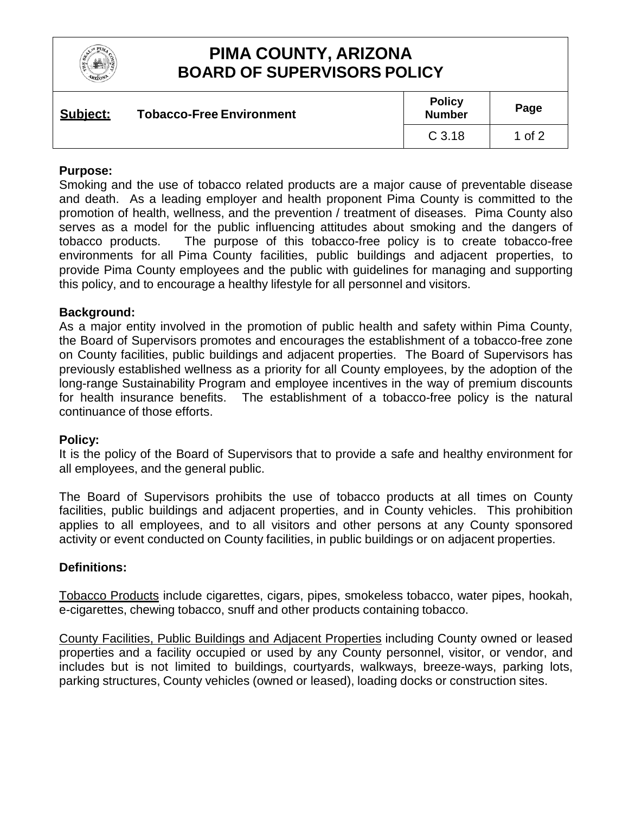

# **PIMA COUNTY, ARIZONA BOARD OF SUPERVISORS POLICY**

| Subject: | <b>Tobacco-Free Environment</b> | <b>Policy</b><br><b>Number</b> | Page     |
|----------|---------------------------------|--------------------------------|----------|
|          |                                 | C <sub>3.18</sub>              | 1 of $2$ |

### **Purpose:**

Smoking and the use of tobacco related products are a major cause of preventable disease and death. As a leading employer and health proponent Pima County is committed to the promotion of health, wellness, and the prevention / treatment of diseases. Pima County also serves as a model for the public influencing attitudes about smoking and the dangers of tobacco products. The purpose of this tobacco-free policy is to create tobacco-free environments for all Pima County facilities, public buildings and adjacent properties, to provide Pima County employees and the public with guidelines for managing and supporting this policy, and to encourage a healthy lifestyle for all personnel and visitors.

#### **Background:**

As a major entity involved in the promotion of public health and safety within Pima County, the Board of Supervisors promotes and encourages the establishment of a tobacco-free zone on County facilities, public buildings and adjacent properties. The Board of Supervisors has previously established wellness as a priority for all County employees, by the adoption of the long-range Sustainability Program and employee incentives in the way of premium discounts for health insurance benefits. The establishment of a tobacco-free policy is the natural continuance of those efforts.

#### **Policy:**

It is the policy of the Board of Supervisors that to provide a safe and healthy environment for all employees, and the general public.

The Board of Supervisors prohibits the use of tobacco products at all times on County facilities, public buildings and adjacent properties, and in County vehicles. This prohibition applies to all employees, and to all visitors and other persons at any County sponsored activity or event conducted on County facilities, in public buildings or on adjacent properties.

#### **Definitions:**

Tobacco Products include cigarettes, cigars, pipes, smokeless tobacco, water pipes, hookah, e-cigarettes, chewing tobacco, snuff and other products containing tobacco.

County Facilities, Public Buildings and Adjacent Properties including County owned or leased properties and a facility occupied or used by any County personnel, visitor, or vendor, and includes but is not limited to buildings, courtyards, walkways, breeze-ways, parking lots, parking structures, County vehicles (owned or leased), loading docks or construction sites.